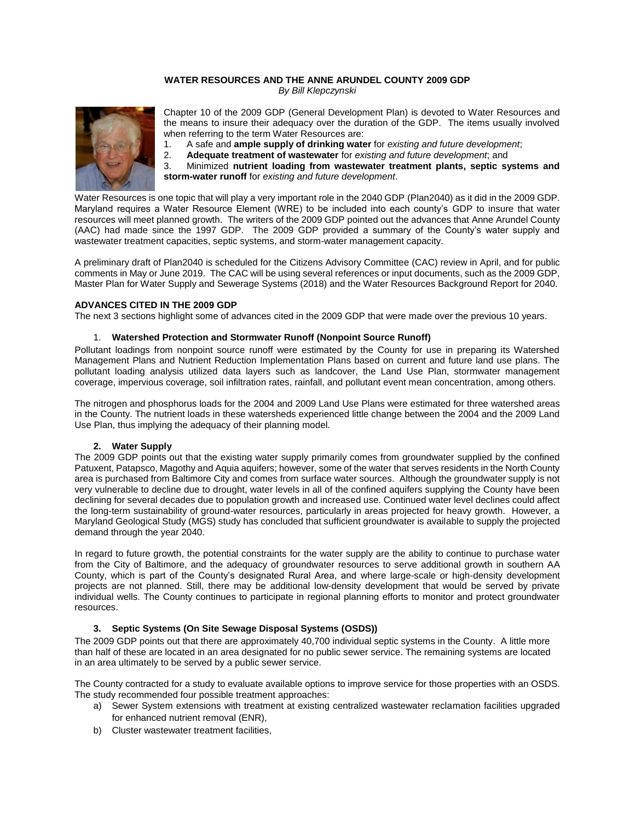## **WATER RESOURCES AND THE ANNE ARUNDEL COUNTY 2009 GDP** *By Bill Klepczynski*



Chapter 10 of the 2009 GDP (General Development Plan) is devoted to Water Resources and the means to insure their adequacy over the duration of the GDP. The items usually involved when referring to the term Water Resources are:

- 1. A safe and **ample supply of drinking water** for *existing and future development*;
- 2. **Adequate treatment of wastewater** for *existing and future development*; and

3. Minimized **nutrient loading from wastewater treatment plants, septic systems and storm-water runoff** for *existing and future development*.

Water Resources is one topic that will play a very important role in the 2040 GDP (Plan2040) as it did in the 2009 GDP. Maryland requires a Water Resource Element (WRE) to be included into each county's GDP to insure that water resources will meet planned growth. The writers of the 2009 GDP pointed out the advances that Anne Arundel County (AAC) had made since the 1997 GDP. The 2009 GDP provided a summary of the County's water supply and wastewater treatment capacities, septic systems, and storm-water management capacity.

A preliminary draft of Plan2040 is scheduled for the Citizens Advisory Committee (CAC) review in April, and for public comments in May or June 2019. The CAC will be using several references or input documents, such as the 2009 GDP, Master Plan for Water Supply and Sewerage Systems (2018) and the Water Resources Background Report for 2040.

## **ADVANCES CITED IN THE 2009 GDP**

The next 3 sections highlight some of advances cited in the 2009 GDP that were made over the previous 10 years.

#### 1. **Watershed Protection and Stormwater Runoff (Nonpoint Source Runoff)**

Pollutant loadings from nonpoint source runoff were estimated by the County for use in preparing its Watershed Management Plans and Nutrient Reduction Implementation Plans based on current and future land use plans. The pollutant loading analysis utilized data layers such as landcover, the Land Use Plan, stormwater management coverage, impervious coverage, soil infiltration rates, rainfall, and pollutant event mean concentration, among others.

The nitrogen and phosphorus loads for the 2004 and 2009 Land Use Plans were estimated for three watershed areas in the County. The nutrient loads in these watersheds experienced little change between the 2004 and the 2009 Land Use Plan, thus implying the adequacy of their planning model.

#### **2. Water Supply**

The 2009 GDP points out that the existing water supply primarily comes from groundwater supplied by the confined Patuxent, Patapsco, Magothy and Aquia aquifers; however, some of the water that serves residents in the North County area is purchased from Baltimore City and comes from surface water sources. Although the groundwater supply is not very vulnerable to decline due to drought, water levels in all of the confined aquifers supplying the County have been declining for several decades due to population growth and increased use. Continued water level declines could affect the long-term sustainability of ground-water resources, particularly in areas projected for heavy growth. However, a Maryland Geological Study (MGS) study has concluded that sufficient groundwater is available to supply the projected demand through the year 2040.

In regard to future growth, the potential constraints for the water supply are the ability to continue to purchase water from the City of Baltimore, and the adequacy of groundwater resources to serve additional growth in southern AA County, which is part of the County's designated Rural Area, and where large-scale or high-density development projects are not planned. Still, there may be additional low-density development that would be served by private individual wells. The County continues to participate in regional planning efforts to monitor and protect groundwater resources.

## **3. Septic Systems (On Site Sewage Disposal Systems (OSDS))**

The 2009 GDP points out that there are approximately 40,700 individual septic systems in the County. A little more than half of these are located in an area designated for no public sewer service. The remaining systems are located in an area ultimately to be served by a public sewer service.

The County contracted for a study to evaluate available options to improve service for those properties with an OSDS. The study recommended four possible treatment approaches:

- a) Sewer System extensions with treatment at existing centralized wastewater reclamation facilities upgraded for enhanced nutrient removal (ENR),
- b) Cluster wastewater treatment facilities,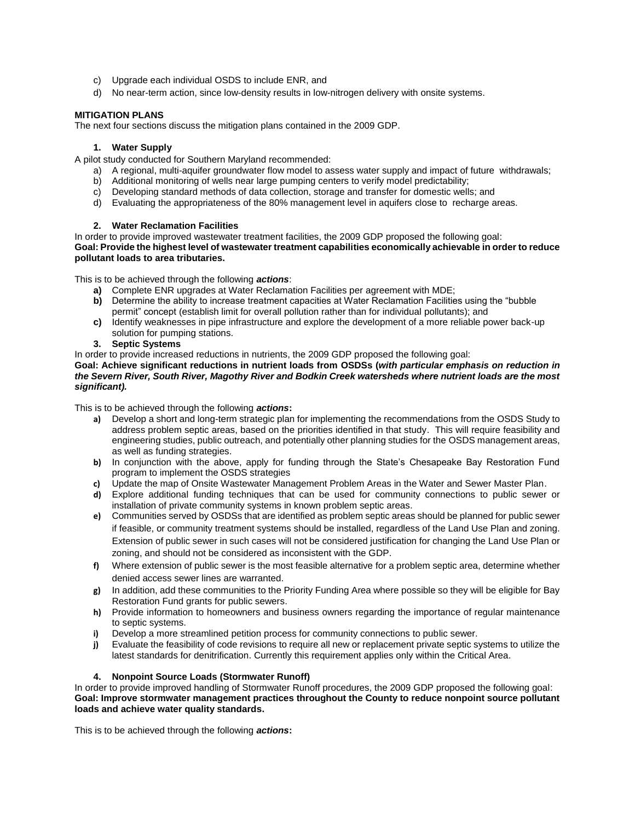- c) Upgrade each individual OSDS to include ENR, and
- d) No near-term action, since low-density results in low-nitrogen delivery with onsite systems.

# **MITIGATION PLANS**

The next four sections discuss the mitigation plans contained in the 2009 GDP.

## **1. Water Supply**

A pilot study conducted for Southern Maryland recommended:

- a) A regional, multi-aquifer groundwater flow model to assess water supply and impact of future withdrawals;
- b) Additional monitoring of wells near large pumping centers to verify model predictability;
- c) Developing standard methods of data collection, storage and transfer for domestic wells; and
- d) Evaluating the appropriateness of the 80% management level in aquifers close to recharge areas.

## **2. Water Reclamation Facilities**

In order to provide improved wastewater treatment facilities, the 2009 GDP proposed the following goal: **Goal: Provide the highest level of wastewater treatment capabilities economically achievable in order to reduce pollutant loads to area tributaries.**

This is to be achieved through the following *actions*:

- **a)** Complete ENR upgrades at Water Reclamation Facilities per agreement with MDE;
- **b)** Determine the ability to increase treatment capacities at Water Reclamation Facilities using the "bubble permit" concept (establish limit for overall pollution rather than for individual pollutants); and
- **c)** Identify weaknesses in pipe infrastructure and explore the development of a more reliable power back-up solution for pumping stations.
- **3. Septic Systems**

In order to provide increased reductions in nutrients, the 2009 GDP proposed the following goal:

**Goal: Achieve significant reductions in nutrient loads from OSDSs (***with particular emphasis on reduction in the Severn River, South River, Magothy River and Bodkin Creek watersheds where nutrient loads are the most significant).*

This is to be achieved through the following *actions***:**

- **a)** Develop a short and long-term strategic plan for implementing the recommendations from the OSDS Study to address problem septic areas, based on the priorities identified in that study. This will require feasibility and engineering studies, public outreach, and potentially other planning studies for the OSDS management areas, as well as funding strategies.
- **b)** In conjunction with the above, apply for funding through the State's Chesapeake Bay Restoration Fund program to implement the OSDS strategies
- **c)** Update the map of Onsite Wastewater Management Problem Areas in the Water and Sewer Master Plan.
- **d)** Explore additional funding techniques that can be used for community connections to public sewer or installation of private community systems in known problem septic areas.
- **e)** Communities served by OSDSs that are identified as problem septic areas should be planned for public sewer if feasible, or community treatment systems should be installed, regardless of the Land Use Plan and zoning. Extension of public sewer in such cases will not be considered justification for changing the Land Use Plan or zoning, and should not be considered as inconsistent with the GDP.
- **f)** Where extension of public sewer is the most feasible alternative for a problem septic area, determine whether denied access sewer lines are warranted.
- **g)** In addition, add these communities to the Priority Funding Area where possible so they will be eligible for Bay Restoration Fund grants for public sewers.
- **h)** Provide information to homeowners and business owners regarding the importance of regular maintenance to septic systems.
- **i)** Develop a more streamlined petition process for community connections to public sewer.
- **j)** Evaluate the feasibility of code revisions to require all new or replacement private septic systems to utilize the latest standards for denitrification. Currently this requirement applies only within the Critical Area.

## **4. Nonpoint Source Loads (Stormwater Runoff)**

In order to provide improved handling of Stormwater Runoff procedures, the 2009 GDP proposed the following goal: **Goal: Improve stormwater management practices throughout the County to reduce nonpoint source pollutant loads and achieve water quality standards.**

This is to be achieved through the following *actions***:**